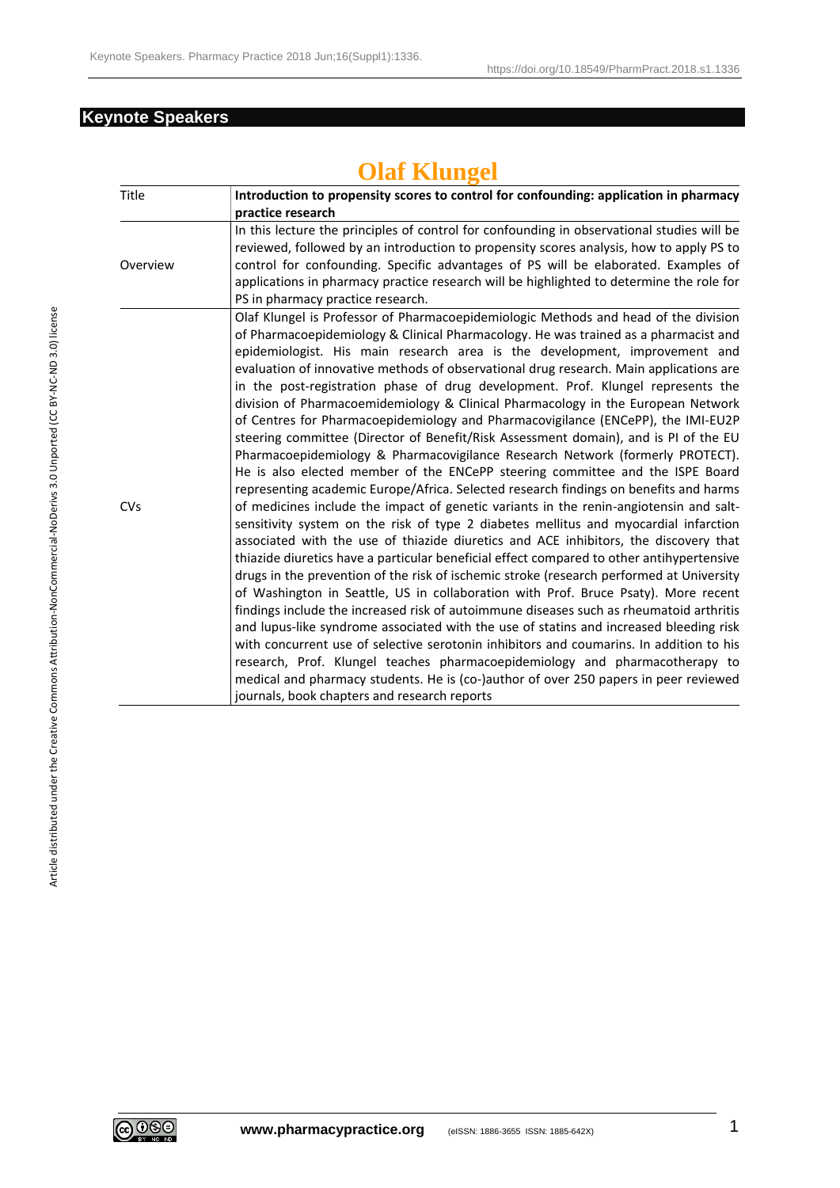## **Keynote Speakers**

## **Olaf Klungel**

| Title      | Introduction to propensity scores to control for confounding: application in pharmacy      |
|------------|--------------------------------------------------------------------------------------------|
|            | practice research                                                                          |
|            | In this lecture the principles of control for confounding in observational studies will be |
|            | reviewed, followed by an introduction to propensity scores analysis, how to apply PS to    |
| Overview   | control for confounding. Specific advantages of PS will be elaborated. Examples of         |
|            | applications in pharmacy practice research will be highlighted to determine the role for   |
|            | PS in pharmacy practice research.                                                          |
|            | Olaf Klungel is Professor of Pharmacoepidemiologic Methods and head of the division        |
|            | of Pharmacoepidemiology & Clinical Pharmacology. He was trained as a pharmacist and        |
|            | epidemiologist. His main research area is the development, improvement and                 |
|            | evaluation of innovative methods of observational drug research. Main applications are     |
|            | in the post-registration phase of drug development. Prof. Klungel represents the           |
|            | division of Pharmacoemidemiology & Clinical Pharmacology in the European Network           |
|            | of Centres for Pharmacoepidemiology and Pharmacovigilance (ENCePP), the IMI-EU2P           |
|            | steering committee (Director of Benefit/Risk Assessment domain), and is PI of the EU       |
|            | Pharmacoepidemiology & Pharmacovigilance Research Network (formerly PROTECT).              |
|            | He is also elected member of the ENCePP steering committee and the ISPE Board              |
|            | representing academic Europe/Africa. Selected research findings on benefits and harms      |
| <b>CVs</b> | of medicines include the impact of genetic variants in the renin-angiotensin and salt-     |
|            | sensitivity system on the risk of type 2 diabetes mellitus and myocardial infarction       |
|            | associated with the use of thiazide diuretics and ACE inhibitors, the discovery that       |
|            | thiazide diuretics have a particular beneficial effect compared to other antihypertensive  |
|            | drugs in the prevention of the risk of ischemic stroke (research performed at University   |
|            | of Washington in Seattle, US in collaboration with Prof. Bruce Psaty). More recent         |
|            | findings include the increased risk of autoimmune diseases such as rheumatoid arthritis    |
|            | and lupus-like syndrome associated with the use of statins and increased bleeding risk     |
|            | with concurrent use of selective serotonin inhibitors and coumarins. In addition to his    |
|            | research, Prof. Klungel teaches pharmacoepidemiology and pharmacotherapy to                |
|            | medical and pharmacy students. He is (co-)author of over 250 papers in peer reviewed       |
|            | journals, book chapters and research reports                                               |